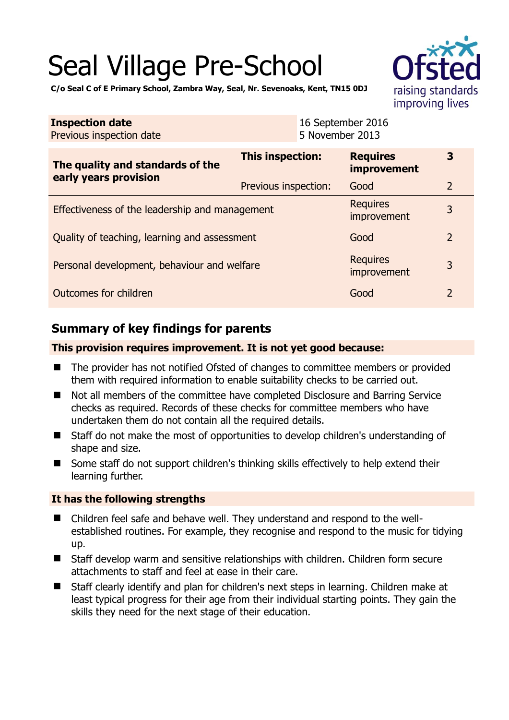# Seal Village Pre-School



**C/o Seal C of E Primary School, Zambra Way, Seal, Nr. Sevenoaks, Kent, TN15 0DJ** 

| <b>Inspection date</b><br>Previous inspection date        | 16 September 2016<br>5 November 2013 |                                |                |
|-----------------------------------------------------------|--------------------------------------|--------------------------------|----------------|
| The quality and standards of the<br>early years provision | This inspection:                     | <b>Requires</b><br>improvement | 3              |
|                                                           | Previous inspection:                 | Good                           | $\overline{2}$ |
| Effectiveness of the leadership and management            |                                      | <b>Requires</b><br>improvement | 3              |
| Quality of teaching, learning and assessment              |                                      | Good                           | $\overline{2}$ |
| Personal development, behaviour and welfare               |                                      | <b>Requires</b><br>improvement | 3              |
| Outcomes for children                                     |                                      | Good                           | $\overline{2}$ |

## **Summary of key findings for parents**

#### **This provision requires improvement. It is not yet good because:**

- The provider has not notified Ofsted of changes to committee members or provided them with required information to enable suitability checks to be carried out.
- Not all members of the committee have completed Disclosure and Barring Service checks as required. Records of these checks for committee members who have undertaken them do not contain all the required details.
- Staff do not make the most of opportunities to develop children's understanding of shape and size.
- Some staff do not support children's thinking skills effectively to help extend their learning further.

#### **It has the following strengths**

- Children feel safe and behave well. They understand and respond to the wellestablished routines. For example, they recognise and respond to the music for tidying up.
- Staff develop warm and sensitive relationships with children. Children form secure attachments to staff and feel at ease in their care.
- Staff clearly identify and plan for children's next steps in learning. Children make at least typical progress for their age from their individual starting points. They gain the skills they need for the next stage of their education.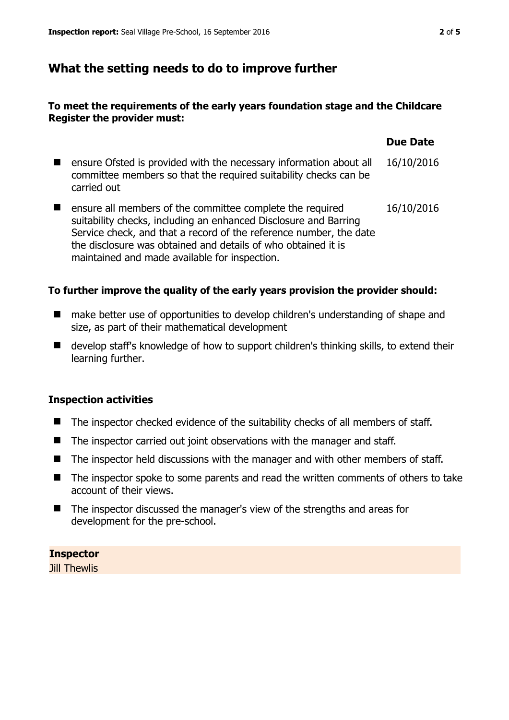## **What the setting needs to do to improve further**

#### **To meet the requirements of the early years foundation stage and the Childcare Register the provider must:**

|                                                                                                                                                                                                                                                                                                                       | <b>Due Date</b> |
|-----------------------------------------------------------------------------------------------------------------------------------------------------------------------------------------------------------------------------------------------------------------------------------------------------------------------|-----------------|
| ensure Ofsted is provided with the necessary information about all<br>committee members so that the required suitability checks can be<br>carried out                                                                                                                                                                 | 16/10/2016      |
| ensure all members of the committee complete the required<br>suitability checks, including an enhanced Disclosure and Barring<br>Service check, and that a record of the reference number, the date<br>the disclosure was obtained and details of who obtained it is<br>maintained and made available for inspection. | 16/10/2016      |

#### **To further improve the quality of the early years provision the provider should:**

- make better use of opportunities to develop children's understanding of shape and size, as part of their mathematical development
- develop staff's knowledge of how to support children's thinking skills, to extend their learning further.

#### **Inspection activities**

- The inspector checked evidence of the suitability checks of all members of staff.
- The inspector carried out joint observations with the manager and staff.
- The inspector held discussions with the manager and with other members of staff.
- The inspector spoke to some parents and read the written comments of others to take account of their views.
- The inspector discussed the manager's view of the strengths and areas for development for the pre-school.

**Inspector**  Jill Thewlis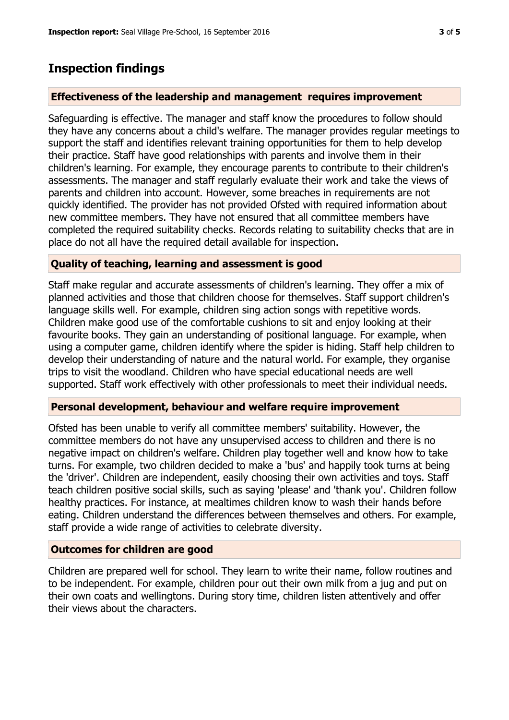### **Inspection findings**

#### **Effectiveness of the leadership and management requires improvement**

Safeguarding is effective. The manager and staff know the procedures to follow should they have any concerns about a child's welfare. The manager provides regular meetings to support the staff and identifies relevant training opportunities for them to help develop their practice. Staff have good relationships with parents and involve them in their children's learning. For example, they encourage parents to contribute to their children's assessments. The manager and staff regularly evaluate their work and take the views of parents and children into account. However, some breaches in requirements are not quickly identified. The provider has not provided Ofsted with required information about new committee members. They have not ensured that all committee members have completed the required suitability checks. Records relating to suitability checks that are in place do not all have the required detail available for inspection.

#### **Quality of teaching, learning and assessment is good**

Staff make regular and accurate assessments of children's learning. They offer a mix of planned activities and those that children choose for themselves. Staff support children's language skills well. For example, children sing action songs with repetitive words. Children make good use of the comfortable cushions to sit and enjoy looking at their favourite books. They gain an understanding of positional language. For example, when using a computer game, children identify where the spider is hiding. Staff help children to develop their understanding of nature and the natural world. For example, they organise trips to visit the woodland. Children who have special educational needs are well supported. Staff work effectively with other professionals to meet their individual needs.

#### **Personal development, behaviour and welfare require improvement**

Ofsted has been unable to verify all committee members' suitability. However, the committee members do not have any unsupervised access to children and there is no negative impact on children's welfare. Children play together well and know how to take turns. For example, two children decided to make a 'bus' and happily took turns at being the 'driver'. Children are independent, easily choosing their own activities and toys. Staff teach children positive social skills, such as saying 'please' and 'thank you'. Children follow healthy practices. For instance, at mealtimes children know to wash their hands before eating. Children understand the differences between themselves and others. For example, staff provide a wide range of activities to celebrate diversity.

#### **Outcomes for children are good**

Children are prepared well for school. They learn to write their name, follow routines and to be independent. For example, children pour out their own milk from a jug and put on their own coats and wellingtons. During story time, children listen attentively and offer their views about the characters.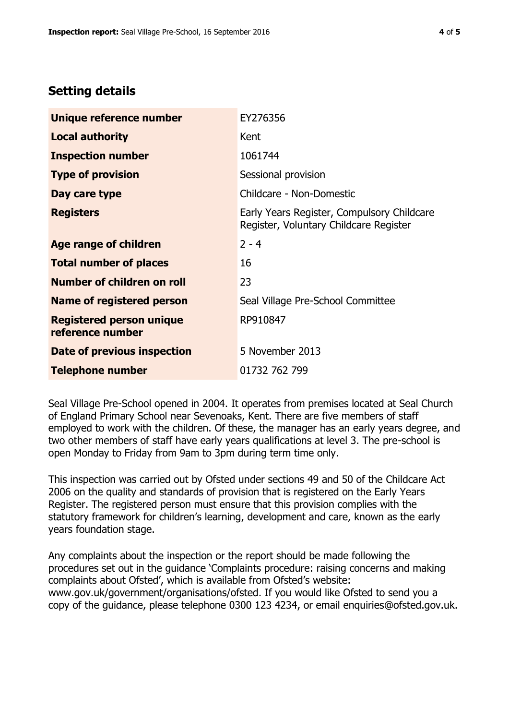## **Setting details**

| Unique reference number                             | EY276356                                                                             |
|-----------------------------------------------------|--------------------------------------------------------------------------------------|
| <b>Local authority</b>                              | Kent                                                                                 |
| <b>Inspection number</b>                            | 1061744                                                                              |
| <b>Type of provision</b>                            | Sessional provision                                                                  |
| Day care type                                       | Childcare - Non-Domestic                                                             |
| <b>Registers</b>                                    | Early Years Register, Compulsory Childcare<br>Register, Voluntary Childcare Register |
| Age range of children                               | $2 - 4$                                                                              |
| <b>Total number of places</b>                       | 16                                                                                   |
| Number of children on roll                          | 23                                                                                   |
| <b>Name of registered person</b>                    | Seal Village Pre-School Committee                                                    |
| <b>Registered person unique</b><br>reference number | RP910847                                                                             |
| Date of previous inspection                         | 5 November 2013                                                                      |
| <b>Telephone number</b>                             | 01732 762 799                                                                        |

Seal Village Pre-School opened in 2004. It operates from premises located at Seal Church of England Primary School near Sevenoaks, Kent. There are five members of staff employed to work with the children. Of these, the manager has an early years degree, and two other members of staff have early years qualifications at level 3. The pre-school is open Monday to Friday from 9am to 3pm during term time only.

This inspection was carried out by Ofsted under sections 49 and 50 of the Childcare Act 2006 on the quality and standards of provision that is registered on the Early Years Register. The registered person must ensure that this provision complies with the statutory framework for children's learning, development and care, known as the early years foundation stage.

Any complaints about the inspection or the report should be made following the procedures set out in the guidance 'Complaints procedure: raising concerns and making complaints about Ofsted', which is available from Ofsted's website: www.gov.uk/government/organisations/ofsted. If you would like Ofsted to send you a copy of the guidance, please telephone 0300 123 4234, or email enquiries@ofsted.gov.uk.